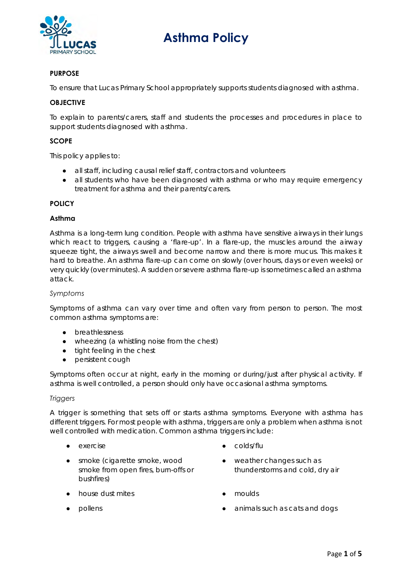

# **Asthma Policy**

# **PURPOSE**

To ensure that Lucas Primary School appropriately supports students diagnosed with asthma.

## **OBJECTIVE**

To explain to parents/carers, staff and students the processes and procedures in place to support students diagnosed with asthma.

## **SCOPE**

This policy applies to:

- all staff, including causal relief staff, contractors and volunteers
- all students who have been diagnosed with asthma or who may require emergency treatment for asthma and their parents/carers.

## **POLICY**

#### **Asthma**

Asthma is a long-term lung condition. People with asthma have sensitive airways in their lungs which react to triggers, causing a 'flare-up'. In a flare-up, the muscles around the airway squeeze tight, the airways swell and become narrow and there is more mucus. This makes it hard to breathe. An asthma flare-up can come on slowly (over hours, days or even weeks) or very quickly (over minutes). A sudden or severe asthma flare-up is sometimes called an asthma attack.

#### *Symptoms*

Symptoms of asthma can vary over time and often vary from person to person. The most common asthma symptoms are:

- breathlessness
- wheezing (a whistling noise from the chest)
- tight feeling in the chest
- persistent cough

Symptoms often occur at night, early in the morning or during/just after physical activity. If asthma is well controlled, a person should only have occasional asthma symptoms.

#### *Triggers*

A trigger is something that sets off or starts asthma symptoms. Everyone with asthma has different triggers. For most people with asthma, triggers are only a problem when asthma is not well controlled with medication. Common asthma triggers include:

- 
- smoke (cigarette smoke, wood smoke from open fires, burn-offs or bushfires)
- house dust mites moulds
- 
- exercise colds/flu
	- weather changes such as thunderstorms and cold, dry air
	-
- pollens animals such as cats and dogs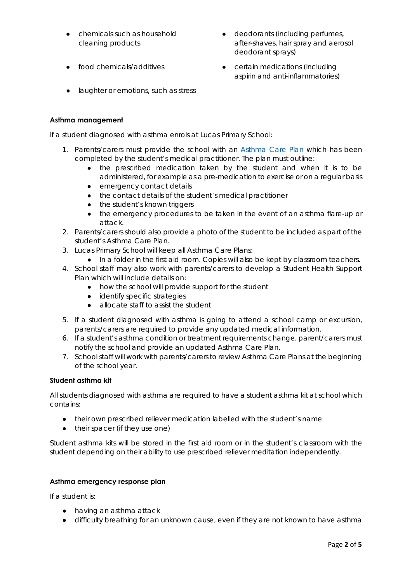- chemicals such as household cleaning products
- 
- deodorants (including perfumes, after-shaves, hair spray and aerosol deodorant sprays)
- food chemicals/additives certain medications (including aspirin and anti-inflammatories)
- laughter or emotions, such as stress

## **Asthma management**

If a student diagnosed with asthma enrols at Lucas Primary School:

- 1. Parents/carers must provide the school with an Asthma Care Plan which has been completed by the student's medical practitioner. The plan must outline:
	- the prescribed medication taken by the student and when it is to be administered, for example as a pre-medication to exercise or on a regular basis
	- emergency contact details
	- the contact details of the student's medical practitioner
	- the student's known triggers
	- the emergency procedures to be taken in the event of an asthma flare-up or attack.
- 2. Parents/carers should also provide a photo of the student to be included as part of the student's Asthma Care Plan.
- 3. Lucas Primary School will keep all Asthma Care Plans:
	- In a folder in the first aid room. Copies will also be kept by classroom teachers.
- 4. School staff may also work with parents/carers to develop a Student Health Support Plan which will include details on:
	- how the school will provide support for the student
	- identify specific strategies
	- allocate staff to assist the student
- 5. If a student diagnosed with asthma is going to attend a school camp or excursion, parents/carers are required to provide any updated medical information.
- 6. If a student's asthma condition or treatment requirements change, parent/carers must notify the school and provide an updated Asthma Care Plan.
- 7. School staff will work with parents/carers to review Asthma Care Plans at the beginning of the school year.

#### **Student asthma kit**

All students diagnosed with asthma are required to have a student asthma kit at school which contains:

- their own prescribed reliever medication labelled with the student's name
- their spacer (if they use one)

Student asthma kits will be stored in the first aid room or in the student's classroom with the student depending on their ability to use prescribed reliever meditation independently.

#### **Asthma emergency response plan**

If a student is:

- having an asthma attack
- difficulty breathing for an unknown cause, even if they are not known to have asthma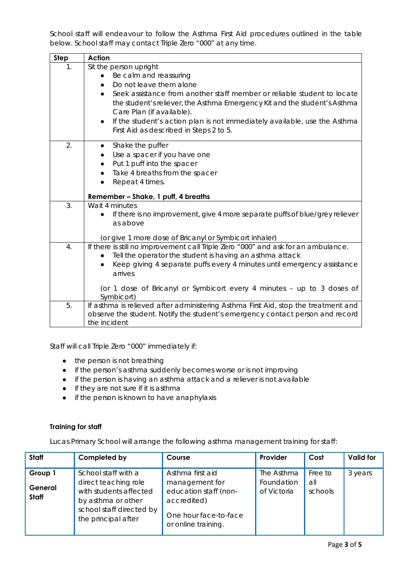School staff will endeavour to follow the Asthma First Aid procedures outlined in the table below. School staff may contact Triple Zero "000" at any time.

| <b>Step</b> | <b>Action</b>                                                                                                                                                                                                                                                                                                                                                                                         |
|-------------|-------------------------------------------------------------------------------------------------------------------------------------------------------------------------------------------------------------------------------------------------------------------------------------------------------------------------------------------------------------------------------------------------------|
| 1.          | Sit the person upright<br>Be calm and reassuring<br>Do not leave them alone<br>Seek assistance from another staff member or reliable student to locate<br>the student's reliever, the Asthma Emergency Kit and the student's Asthma<br>Care Plan (if available).<br>If the student's action plan is not immediately available, use the Asthma<br>$\bullet$<br>First Aid as described in Steps 2 to 5. |
| 2.          | Shake the puffer<br>Use a spacer if you have one<br>Put 1 puff into the spacer<br>Take 4 breaths from the spacer<br>Repeat 4 times.<br>Remember - Shake, 1 puff, 4 breaths                                                                                                                                                                                                                            |
| 3.          | Wait 4 minutes                                                                                                                                                                                                                                                                                                                                                                                        |
|             | If there is no improvement, give 4 more separate puffs of blue/grey reliever<br>as above<br>(or give 1 more dose of Bricanyl or Symbicort inhaler)                                                                                                                                                                                                                                                    |
| 4.          | If there is still no improvement call Triple Zero "000" and ask for an ambulance.                                                                                                                                                                                                                                                                                                                     |
|             | Tell the operator the student is having an asthma attack<br>Keep giving 4 separate puffs every 4 minutes until emergency assistance<br>$\bullet$<br>arrives                                                                                                                                                                                                                                           |
|             | (or 1 dose of Bricanyl or Symbicort every 4 minutes - up to 3 doses of<br>Symbicort)                                                                                                                                                                                                                                                                                                                  |
| 5.          | If asthma is relieved after administering Asthma First Aid, stop the treatment and<br>observe the student. Notify the student's emergency contact person and record<br>the incident                                                                                                                                                                                                                   |

Staff will call Triple Zero "000" immediately if:

- the person is not breathing
- if the person's asthma suddenly becomes worse or is not improving
- if the person is having an asthma attack and a reliever is not available
- if they are not sure if it is asthma
- if the person is known to have anaphylaxis

#### **Training for staff**

Lucas Primary School will arrange the following asthma management training for staff:

| <b>Staff</b>                | Completed by                                                                                                                                   | Course                                                                                                                     | Provider                                | Cost                      | <b>Valid for</b> |
|-----------------------------|------------------------------------------------------------------------------------------------------------------------------------------------|----------------------------------------------------------------------------------------------------------------------------|-----------------------------------------|---------------------------|------------------|
| Group 1<br>General<br>Staff | School staff with a<br>direct teaching role<br>with students affected<br>by asthma or other<br>school staff directed by<br>the principal after | Asthma first aid<br>management for<br>education staff (non-<br>accredited)<br>One hour face-to-face<br>or online training. | The Asthma<br>Foundation<br>of Victoria | Free to<br>all<br>schools | 3 years          |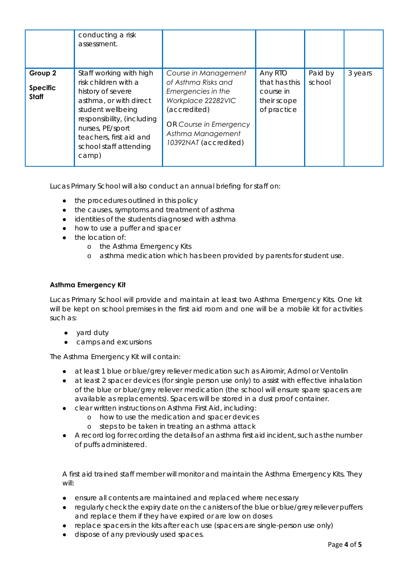|                                            | conducting a risk<br>assessment.                                                                                                                                                                                                    |                                                                                                                                                                                 |                                                                     |                   |         |
|--------------------------------------------|-------------------------------------------------------------------------------------------------------------------------------------------------------------------------------------------------------------------------------------|---------------------------------------------------------------------------------------------------------------------------------------------------------------------------------|---------------------------------------------------------------------|-------------------|---------|
| Group 2<br><b>Specific</b><br><b>Staff</b> | Staff working with high<br>risk children with a<br>history of severe<br>asthma, or with direct<br>student wellbeing<br>responsibility, (including<br>nurses, PE/sport<br>teachers, first aid and<br>school staff attending<br>camp) | Course in Management<br>of Asthma Risks and<br>Emergencies in the<br>Workplace 22282VIC<br>(accredited)<br>OR Course in Emergency<br>Asthma Management<br>10392NAT (accredited) | Any RTO<br>that has this<br>course in<br>their scope<br>of practice | Paid by<br>school | 3 years |

Lucas Primary School will also conduct an annual briefing for staff on:

- the procedures outlined in this policy
- the causes, symptoms and treatment of asthma
- identities of the students diagnosed with asthma
- how to use a puffer and spacer
- the location of:
	- o the Asthma Emergency Kits
	- o asthma medication which has been provided by parents for student use.

## **Asthma Emergency Kit**

Lucas Primary School will provide and maintain at least two Asthma Emergency Kits. One kit will be kept on school premises in the first aid room and one will be a mobile kit for activities such as:

- yard duty
- camps and excursions

The Asthma Emergency Kit will contain:

- at least 1 blue or blue/grey reliever medication such as Airomir, Admol or Ventolin
- at least 2 spacer devices (for single person use only) to assist with effective inhalation of the blue or blue/grey reliever medication (the school will ensure spare spacers are available as replacements). Spacers will be stored in a dust proof container.
- clear written instructions on Asthma First Aid, including:
	- o how to use the medication and spacer devices
	- o steps to be taken in treating an asthma attack
- A record log for recording the details of an asthma first aid incident, such as the number of puffs administered.

A first aid trained staff member will monitor and maintain the Asthma Emergency Kits. They will:

- ensure all contents are maintained and replaced where necessary
- regularly check the expiry date on the canisters of the blue or blue/grey reliever puffers and replace them if they have expired or are low on doses
- replace spacers in the kits after each use (spacers are single-person use only)
- dispose of any previously used spaces.